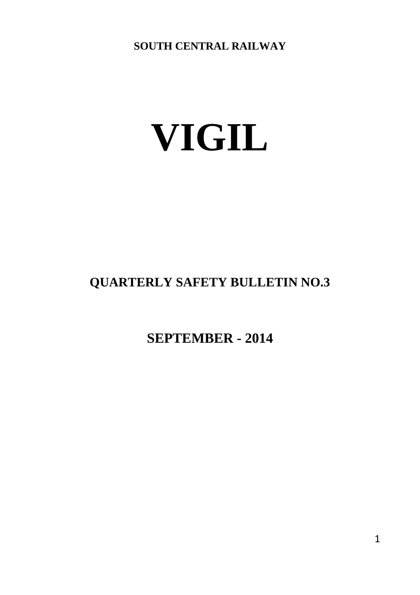**SOUTH CENTRAL RAILWAY**

# **VIGIL**

# **QUARTERLY SAFETY BULLETIN NO.3**

**SEPTEMBER - 2014**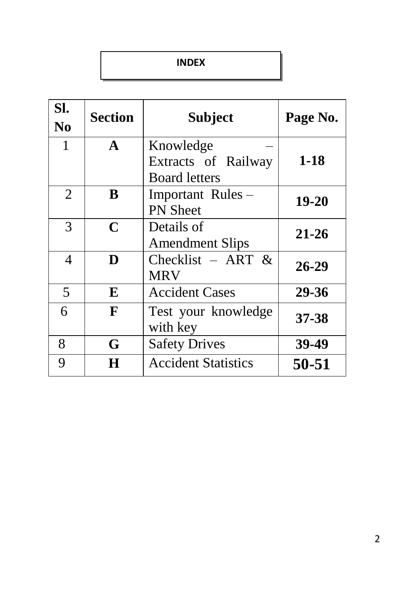#### **INDEX**

| SI.<br>N <sub>0</sub> | <b>Section</b> | <b>Subject</b>                       | Page No.  |  |  |
|-----------------------|----------------|--------------------------------------|-----------|--|--|
| 1                     | $\mathbf{A}$   | Knowledge<br>Extracts of Railway     | $1 - 18$  |  |  |
|                       |                | <b>Board letters</b>                 |           |  |  |
| $\overline{2}$        | B              | Important Rules –<br><b>PN</b> Sheet | 19-20     |  |  |
| 3                     | $\mathbf C$    | Details of<br><b>Amendment Slips</b> | $21 - 26$ |  |  |
| 4                     | D              | Checklist - ART $\&$<br><b>MRV</b>   | 26-29     |  |  |
| 5                     | E              | <b>Accident Cases</b>                | 29-36     |  |  |
| 6                     | F              | Test your knowledge<br>with key      | 37-38     |  |  |
| 8                     | G              | <b>Safety Drives</b>                 | 39-49     |  |  |
| 9                     | H              | <b>Accident Statistics</b>           | 50-51     |  |  |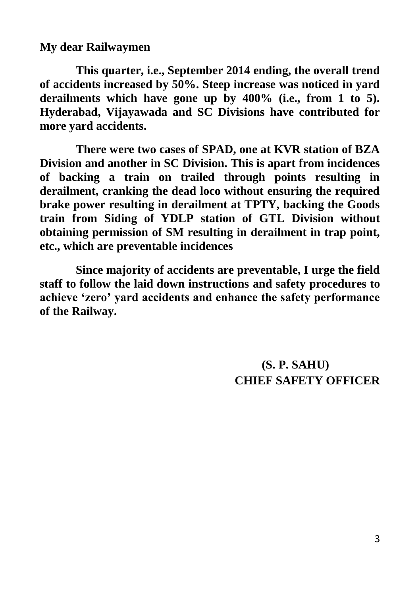**My dear Railwaymen**

**This quarter, i.e., September 2014 ending, the overall trend of accidents increased by 50%. Steep increase was noticed in yard derailments which have gone up by 400% (i.e., from 1 to 5). Hyderabad, Vijayawada and SC Divisions have contributed for more yard accidents.**

**There were two cases of SPAD, one at KVR station of BZA Division and another in SC Division. This is apart from incidences of backing a train on trailed through points resulting in derailment, cranking the dead loco without ensuring the required brake power resulting in derailment at TPTY, backing the Goods train from Siding of YDLP station of GTL Division without obtaining permission of SM resulting in derailment in trap point, etc., which are preventable incidences**

**Since majority of accidents are preventable, I urge the field staff to follow the laid down instructions and safety procedures to achieve 'zero' yard accidents and enhance the safety performance of the Railway.** 

> **(S. P. SAHU) CHIEF SAFETY OFFICER**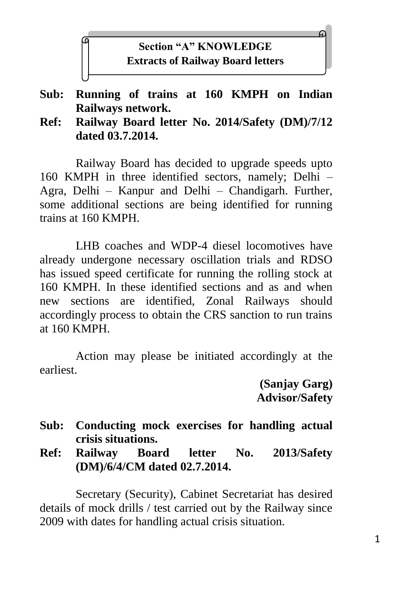# **Section "A" KNOWLEDGE Extracts of Railway Board letters**

#### **Sub: Running of trains at 160 KMPH on Indian Railways network.**

**Ref: Railway Board letter No. 2014/Safety (DM)/7/12 dated 03.7.2014.**

Railway Board has decided to upgrade speeds upto 160 KMPH in three identified sectors, namely; Delhi – Agra, Delhi – Kanpur and Delhi – Chandigarh. Further, some additional sections are being identified for running trains at 160 KMPH.

LHB coaches and WDP-4 diesel locomotives have already undergone necessary oscillation trials and RDSO has issued speed certificate for running the rolling stock at 160 KMPH. In these identified sections and as and when new sections are identified, Zonal Railways should accordingly process to obtain the CRS sanction to run trains at 160 KMPH.

Action may please be initiated accordingly at the earliest.

> **(Sanjay Garg) Advisor/Safety**

#### **Sub: Conducting mock exercises for handling actual crisis situations.**

**Ref: Railway Board letter No. 2013/Safety (DM)/6/4/CM dated 02.7.2014.**

Secretary (Security), Cabinet Secretariat has desired details of mock drills / test carried out by the Railway since 2009 with dates for handling actual crisis situation.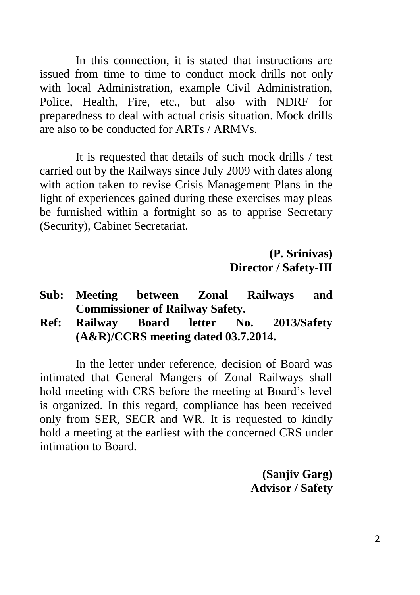In this connection, it is stated that instructions are issued from time to time to conduct mock drills not only with local Administration, example Civil Administration, Police, Health, Fire, etc., but also with NDRF for preparedness to deal with actual crisis situation. Mock drills are also to be conducted for ARTs / ARMVs.

It is requested that details of such mock drills / test carried out by the Railways since July 2009 with dates along with action taken to revise Crisis Management Plans in the light of experiences gained during these exercises may pleas be furnished within a fortnight so as to apprise Secretary (Security), Cabinet Secretariat.

> **(P. Srinivas) Director / Safety-III**

- **Sub: Meeting between Zonal Railways and Commissioner of Railway Safety.**
- **Ref: Railway Board letter No. 2013/Safety (A&R)/CCRS meeting dated 03.7.2014.**

In the letter under reference, decision of Board was intimated that General Mangers of Zonal Railways shall hold meeting with CRS before the meeting at Board's level is organized. In this regard, compliance has been received only from SER, SECR and WR. It is requested to kindly hold a meeting at the earliest with the concerned CRS under intimation to Board.

> **(Sanjiv Garg) Advisor / Safety**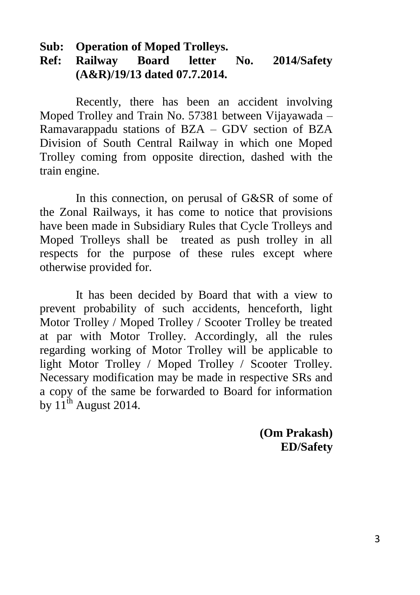#### **Sub: Operation of Moped Trolleys.**

# **Ref: Railway Board letter No. 2014/Safety (A&R)/19/13 dated 07.7.2014.**

Recently, there has been an accident involving Moped Trolley and Train No. 57381 between Vijayawada – Ramavarappadu stations of BZA – GDV section of BZA Division of South Central Railway in which one Moped Trolley coming from opposite direction, dashed with the train engine.

In this connection, on perusal of G&SR of some of the Zonal Railways, it has come to notice that provisions have been made in Subsidiary Rules that Cycle Trolleys and Moped Trolleys shall be treated as push trolley in all respects for the purpose of these rules except where otherwise provided for.

It has been decided by Board that with a view to prevent probability of such accidents, henceforth, light Motor Trolley / Moped Trolley / Scooter Trolley be treated at par with Motor Trolley. Accordingly, all the rules regarding working of Motor Trolley will be applicable to light Motor Trolley / Moped Trolley / Scooter Trolley. Necessary modification may be made in respective SRs and a copy of the same be forwarded to Board for information by  $11^{th}$  August 2014.

> **(Om Prakash) ED/Safety**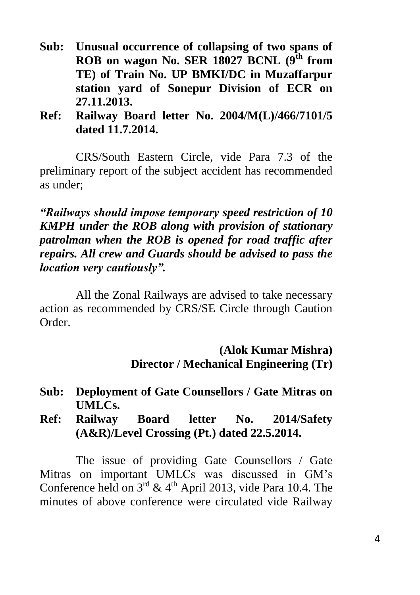- **Sub: Unusual occurrence of collapsing of two spans of ROB on wagon No. SER 18027 BCNL (9th from TE) of Train No. UP BMKI/DC in Muzaffarpur station yard of Sonepur Division of ECR on 27.11.2013.**
- **Ref: Railway Board letter No. 2004/M(L)/466/7101/5 dated 11.7.2014.**

CRS/South Eastern Circle, vide Para 7.3 of the preliminary report of the subject accident has recommended as under;

*"Railways should impose temporary speed restriction of 10 KMPH under the ROB along with provision of stationary patrolman when the ROB is opened for road traffic after repairs. All crew and Guards should be advised to pass the location very cautiously".*

All the Zonal Railways are advised to take necessary action as recommended by CRS/SE Circle through Caution Order.

> **(Alok Kumar Mishra) Director / Mechanical Engineering (Tr)**

- **Sub: Deployment of Gate Counsellors / Gate Mitras on UMLCs.**
- **Ref: Railway Board letter No. 2014/Safety (A&R)/Level Crossing (Pt.) dated 22.5.2014.**

The issue of providing Gate Counsellors / Gate Mitras on important UMLCs was discussed in GM's Conference held on  $3<sup>rd</sup>$  & 4<sup>th</sup> April 2013, vide Para 10.4. The minutes of above conference were circulated vide Railway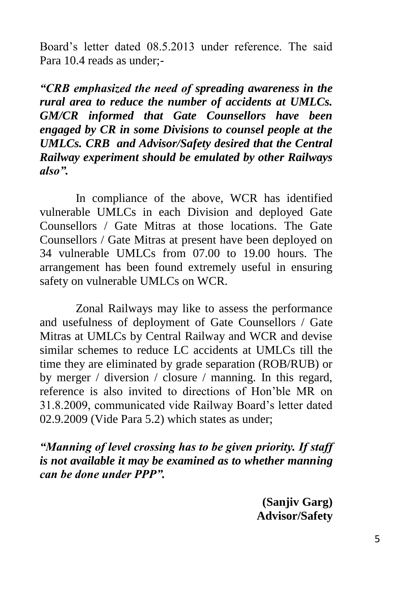Board's letter dated 08.5.2013 under reference. The said Para 10.4 reads as under;-

*"CRB emphasized the need of spreading awareness in the rural area to reduce the number of accidents at UMLCs. GM/CR informed that Gate Counsellors have been engaged by CR in some Divisions to counsel people at the UMLCs. CRB and Advisor/Safety desired that the Central Railway experiment should be emulated by other Railways also".*

In compliance of the above, WCR has identified vulnerable UMLCs in each Division and deployed Gate Counsellors / Gate Mitras at those locations. The Gate Counsellors / Gate Mitras at present have been deployed on 34 vulnerable UMLCs from 07.00 to 19.00 hours. The arrangement has been found extremely useful in ensuring safety on vulnerable UMLCs on WCR.

Zonal Railways may like to assess the performance and usefulness of deployment of Gate Counsellors / Gate Mitras at UMLCs by Central Railway and WCR and devise similar schemes to reduce LC accidents at UMLCs till the time they are eliminated by grade separation (ROB/RUB) or by merger / diversion / closure / manning. In this regard, reference is also invited to directions of Hon'ble MR on 31.8.2009, communicated vide Railway Board's letter dated 02.9.2009 (Vide Para 5.2) which states as under;

*"Manning of level crossing has to be given priority. If staff is not available it may be examined as to whether manning can be done under PPP".*

> **(Sanjiv Garg) Advisor/Safety**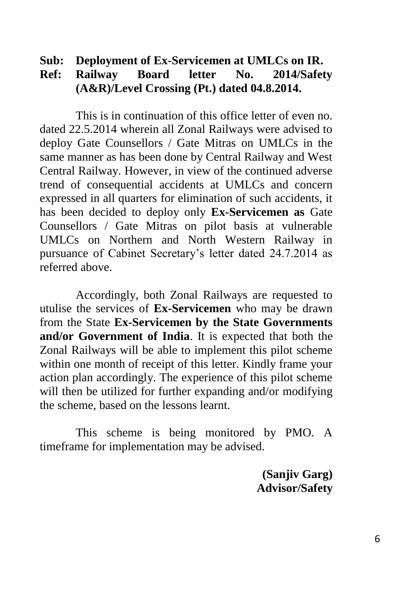#### **Sub: Deployment of Ex-Servicemen at UMLCs on IR. Ref: Railway Board letter No. 2014/Safety (A&R)/Level Crossing (Pt.) dated 04.8.2014.**

This is in continuation of this office letter of even no. dated 22.5.2014 wherein all Zonal Railways were advised to deploy Gate Counsellors / Gate Mitras on UMLCs in the same manner as has been done by Central Railway and West Central Railway. However, in view of the continued adverse trend of consequential accidents at UMLCs and concern expressed in all quarters for elimination of such accidents, it has been decided to deploy only **Ex-Servicemen as** Gate Counsellors / Gate Mitras on pilot basis at vulnerable UMLCs on Northern and North Western Railway in pursuance of Cabinet Secretary's letter dated 24.7.2014 as referred above.

Accordingly, both Zonal Railways are requested to utulise the services of **Ex-Servicemen** who may be drawn from the State **Ex-Servicemen by the State Governments and/or Government of India**. It is expected that both the Zonal Railways will be able to implement this pilot scheme within one month of receipt of this letter. Kindly frame your action plan accordingly. The experience of this pilot scheme will then be utilized for further expanding and/or modifying the scheme, based on the lessons learnt.

This scheme is being monitored by PMO. A timeframe for implementation may be advised.

> **(Sanjiv Garg) Advisor/Safety**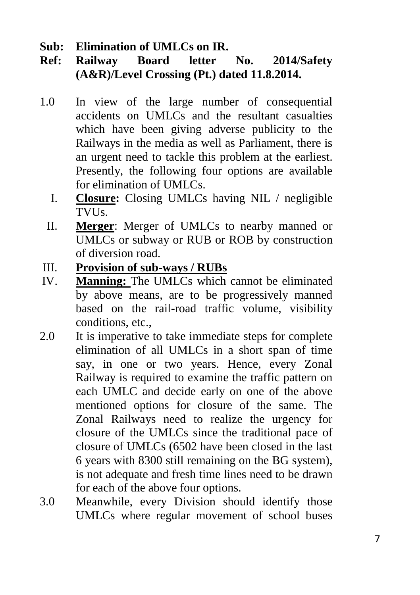**Sub: Elimination of UMLCs on IR.**

- **Ref: Railway Board letter No. 2014/Safety (A&R)/Level Crossing (Pt.) dated 11.8.2014.**
- 1.0 In view of the large number of consequential accidents on UMLCs and the resultant casualties which have been giving adverse publicity to the Railways in the media as well as Parliament, there is an urgent need to tackle this problem at the earliest. Presently, the following four options are available for elimination of UMLCs.
	- I. **Closure:** Closing UMLCs having NIL / negligible TVUs.
	- II. **Merger**: Merger of UMLCs to nearby manned or UMLCs or subway or RUB or ROB by construction of diversion road.
- III. **Provision of sub-ways / RUBs**
- IV. **Manning:** The UMLCs which cannot be eliminated by above means, are to be progressively manned based on the rail-road traffic volume, visibility conditions, etc.,
- 2.0 It is imperative to take immediate steps for complete elimination of all UMLCs in a short span of time say, in one or two years. Hence, every Zonal Railway is required to examine the traffic pattern on each UMLC and decide early on one of the above mentioned options for closure of the same. The Zonal Railways need to realize the urgency for closure of the UMLCs since the traditional pace of closure of UMLCs (6502 have been closed in the last 6 years with 8300 still remaining on the BG system), is not adequate and fresh time lines need to be drawn for each of the above four options.
- 3.0 Meanwhile, every Division should identify those UMLCs where regular movement of school buses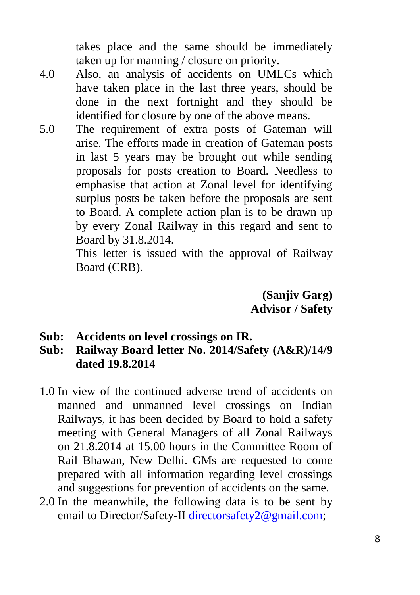takes place and the same should be immediately taken up for manning / closure on priority.

- 4.0 Also, an analysis of accidents on UMLCs which have taken place in the last three years, should be done in the next fortnight and they should be identified for closure by one of the above means.
- 5.0 The requirement of extra posts of Gateman will arise. The efforts made in creation of Gateman posts in last 5 years may be brought out while sending proposals for posts creation to Board. Needless to emphasise that action at Zonal level for identifying surplus posts be taken before the proposals are sent to Board. A complete action plan is to be drawn up by every Zonal Railway in this regard and sent to Board by 31.8.2014.

This letter is issued with the approval of Railway Board (CRB).

> **(Sanjiv Garg) Advisor / Safety**

- **Sub: Accidents on level crossings on IR.**
- **Sub: Railway Board letter No. 2014/Safety (A&R)/14/9 dated 19.8.2014**
- 1.0 In view of the continued adverse trend of accidents on manned and unmanned level crossings on Indian Railways, it has been decided by Board to hold a safety meeting with General Managers of all Zonal Railways on 21.8.2014 at 15.00 hours in the Committee Room of Rail Bhawan, New Delhi. GMs are requested to come prepared with all information regarding level crossings and suggestions for prevention of accidents on the same.
- 2.0 In the meanwhile, the following data is to be sent by email to Director/Safety-II [directorsafety2@gmail.com;](mailto:directorsafety2@gmail.com)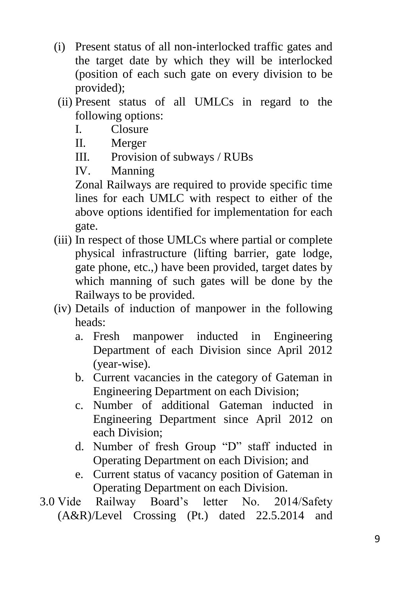- (i) Present status of all non-interlocked traffic gates and the target date by which they will be interlocked (position of each such gate on every division to be provided);
- (ii) Present status of all UMLCs in regard to the following options:
	- I. Closure
	- II. Merger
	- III. Provision of subways / RUBs
	- IV. Manning

Zonal Railways are required to provide specific time lines for each UMLC with respect to either of the above options identified for implementation for each gate.

- (iii) In respect of those UMLCs where partial or complete physical infrastructure (lifting barrier, gate lodge, gate phone, etc.,) have been provided, target dates by which manning of such gates will be done by the Railways to be provided.
- (iv) Details of induction of manpower in the following heads:
	- a. Fresh manpower inducted in Engineering Department of each Division since April 2012 (year-wise).
	- b. Current vacancies in the category of Gateman in Engineering Department on each Division;
	- c. Number of additional Gateman inducted in Engineering Department since April 2012 on each Division;
	- d. Number of fresh Group "D" staff inducted in Operating Department on each Division; and
	- e. Current status of vacancy position of Gateman in Operating Department on each Division.
- 3.0 Vide Railway Board's letter No. 2014/Safety (A&R)/Level Crossing (Pt.) dated 22.5.2014 and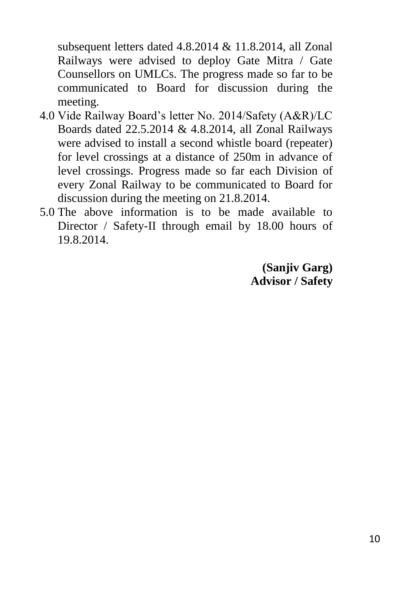subsequent letters dated 4.8.2014 & 11.8.2014, all Zonal Railways were advised to deploy Gate Mitra / Gate Counsellors on UMLCs. The progress made so far to be communicated to Board for discussion during the meeting.

- 4.0 Vide Railway Board's letter No. 2014/Safety (A&R)/LC Boards dated 22.5.2014 & 4.8.2014, all Zonal Railways were advised to install a second whistle board (repeater) for level crossings at a distance of 250m in advance of level crossings. Progress made so far each Division of every Zonal Railway to be communicated to Board for discussion during the meeting on 21.8.2014.
- 5.0 The above information is to be made available to Director / Safety-II through email by 18.00 hours of 19.8.2014.

**(Sanjiv Garg) Advisor / Safety**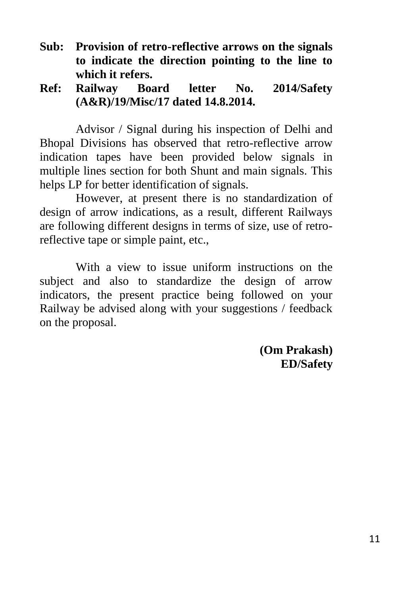- **Sub: Provision of retro-reflective arrows on the signals to indicate the direction pointing to the line to which it refers.**
- **Ref: Railway Board letter No. 2014/Safety (A&R)/19/Misc/17 dated 14.8.2014.**

Advisor / Signal during his inspection of Delhi and Bhopal Divisions has observed that retro-reflective arrow indication tapes have been provided below signals in multiple lines section for both Shunt and main signals. This helps LP for better identification of signals.

However, at present there is no standardization of design of arrow indications, as a result, different Railways are following different designs in terms of size, use of retroreflective tape or simple paint, etc.,

With a view to issue uniform instructions on the subject and also to standardize the design of arrow indicators, the present practice being followed on your Railway be advised along with your suggestions / feedback on the proposal.

> **(Om Prakash) ED/Safety**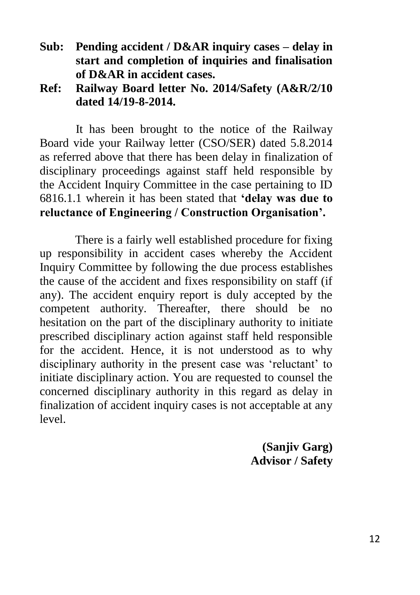- **Sub: Pending accident / D&AR inquiry cases – delay in start and completion of inquiries and finalisation of D&AR in accident cases.**
- **Ref: Railway Board letter No. 2014/Safety (A&R/2/10 dated 14/19-8-2014.**

It has been brought to the notice of the Railway Board vide your Railway letter (CSO/SER) dated 5.8.2014 as referred above that there has been delay in finalization of disciplinary proceedings against staff held responsible by the Accident Inquiry Committee in the case pertaining to ID 6816.1.1 wherein it has been stated that **'delay was due to reluctance of Engineering / Construction Organisation'.**

There is a fairly well established procedure for fixing up responsibility in accident cases whereby the Accident Inquiry Committee by following the due process establishes the cause of the accident and fixes responsibility on staff (if any). The accident enquiry report is duly accepted by the competent authority. Thereafter, there should be no hesitation on the part of the disciplinary authority to initiate prescribed disciplinary action against staff held responsible for the accident. Hence, it is not understood as to why disciplinary authority in the present case was 'reluctant' to initiate disciplinary action. You are requested to counsel the concerned disciplinary authority in this regard as delay in finalization of accident inquiry cases is not acceptable at any level.

> **(Sanjiv Garg) Advisor / Safety**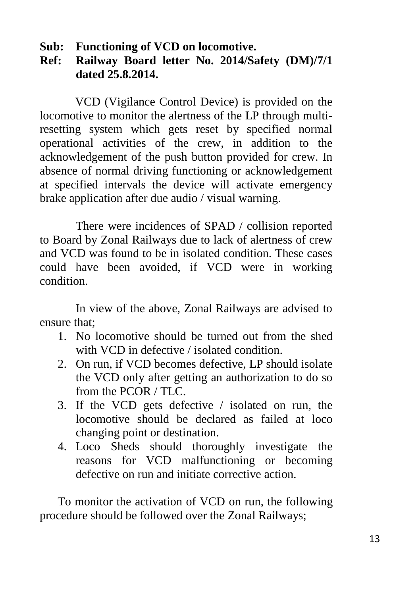**Sub: Functioning of VCD on locomotive.**

#### **Ref: Railway Board letter No. 2014/Safety (DM)/7/1 dated 25.8.2014.**

VCD (Vigilance Control Device) is provided on the locomotive to monitor the alertness of the LP through multiresetting system which gets reset by specified normal operational activities of the crew, in addition to the acknowledgement of the push button provided for crew. In absence of normal driving functioning or acknowledgement at specified intervals the device will activate emergency brake application after due audio / visual warning.

There were incidences of SPAD / collision reported to Board by Zonal Railways due to lack of alertness of crew and VCD was found to be in isolated condition. These cases could have been avoided, if VCD were in working condition.

In view of the above, Zonal Railways are advised to ensure that;

- 1. No locomotive should be turned out from the shed with VCD in defective / isolated condition
- 2. On run, if VCD becomes defective, LP should isolate the VCD only after getting an authorization to do so from the PCOR / TLC.
- 3. If the VCD gets defective / isolated on run, the locomotive should be declared as failed at loco changing point or destination.
- 4. Loco Sheds should thoroughly investigate the reasons for VCD malfunctioning or becoming defective on run and initiate corrective action.

To monitor the activation of VCD on run, the following procedure should be followed over the Zonal Railways;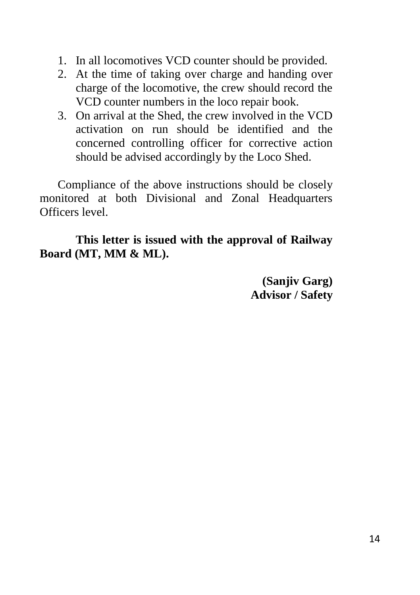- 1. In all locomotives VCD counter should be provided.
- 2. At the time of taking over charge and handing over charge of the locomotive, the crew should record the VCD counter numbers in the loco repair book.
- 3. On arrival at the Shed, the crew involved in the VCD activation on run should be identified and the concerned controlling officer for corrective action should be advised accordingly by the Loco Shed.

Compliance of the above instructions should be closely monitored at both Divisional and Zonal Headquarters Officers level.

**This letter is issued with the approval of Railway Board (MT, MM & ML).**

> **(Sanjiv Garg) Advisor / Safety**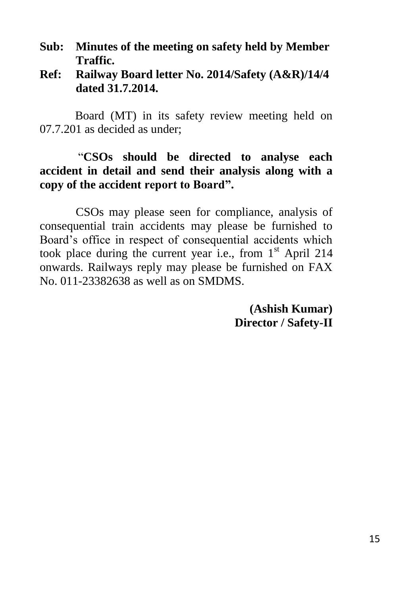- **Sub: Minutes of the meeting on safety held by Member Traffic.**
- **Ref: Railway Board letter No. 2014/Safety (A&R)/14/4 dated 31.7.2014.**

Board (MT) in its safety review meeting held on 07.7.201 as decided as under;

#### "**CSOs should be directed to analyse each accident in detail and send their analysis along with a copy of the accident report to Board".**

CSOs may please seen for compliance, analysis of consequential train accidents may please be furnished to Board's office in respect of consequential accidents which took place during the current year i.e., from  $1<sup>st</sup>$  April 214 onwards. Railways reply may please be furnished on FAX No. 011-23382638 as well as on SMDMS.

> **(Ashish Kumar) Director / Safety-II**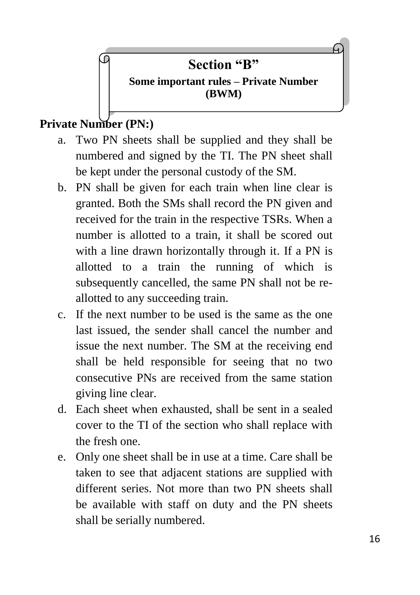# **Section "B"**

# **Some important rules – Private Number (BWM)**

# **Private Number (PN:)**

- a. Two PN sheets shall be supplied and they shall be numbered and signed by the TI. The PN sheet shall be kept under the personal custody of the SM.
- b. PN shall be given for each train when line clear is granted. Both the SMs shall record the PN given and received for the train in the respective TSRs. When a number is allotted to a train, it shall be scored out with a line drawn horizontally through it. If a PN is allotted to a train the running of which is subsequently cancelled, the same PN shall not be reallotted to any succeeding train.
- c. If the next number to be used is the same as the one last issued, the sender shall cancel the number and issue the next number. The SM at the receiving end shall be held responsible for seeing that no two consecutive PNs are received from the same station giving line clear.
- d. Each sheet when exhausted, shall be sent in a sealed cover to the TI of the section who shall replace with the fresh one.
- e. Only one sheet shall be in use at a time. Care shall be taken to see that adjacent stations are supplied with different series. Not more than two PN sheets shall be available with staff on duty and the PN sheets shall be serially numbered.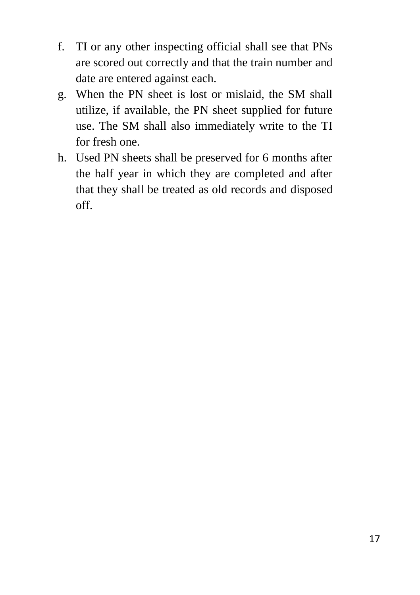- f. TI or any other inspecting official shall see that PNs are scored out correctly and that the train number and date are entered against each.
- g. When the PN sheet is lost or mislaid, the SM shall utilize, if available, the PN sheet supplied for future use. The SM shall also immediately write to the TI for fresh one.
- h. Used PN sheets shall be preserved for 6 months after the half year in which they are completed and after that they shall be treated as old records and disposed off.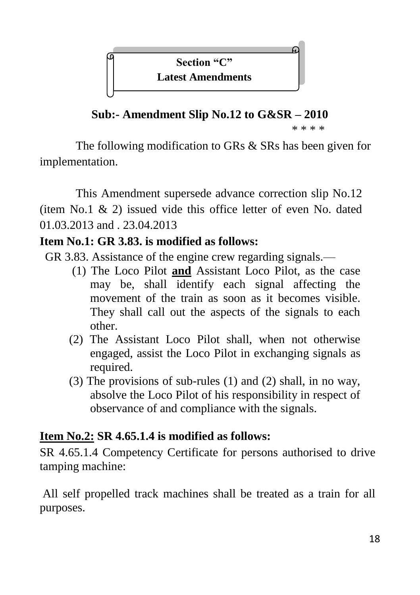**Section "C" Latest Amendments**

**Sub:- Amendment Slip No.12 to G&SR – 2010**

\* \* \* \*

The following modification to GRs & SRs has been given for implementation.

This Amendment supersede advance correction slip No.12 (item No.1 & 2) issued vide this office letter of even No. dated 01.03.2013 and . 23.04.2013

# **Item No.1: GR 3.83. is modified as follows:**

- GR 3.83. Assistance of the engine crew regarding signals.—
	- (1) The Loco Pilot **and** Assistant Loco Pilot, as the case may be, shall identify each signal affecting the movement of the train as soon as it becomes visible. They shall call out the aspects of the signals to each other.
	- (2) The Assistant Loco Pilot shall, when not otherwise engaged, assist the Loco Pilot in exchanging signals as required.
	- (3) The provisions of sub-rules (1) and (2) shall, in no way, absolve the Loco Pilot of his responsibility in respect of observance of and compliance with the signals.

# **Item No.2: SR 4.65.1.4 is modified as follows:**

SR 4.65.1.4 Competency Certificate for persons authorised to drive tamping machine:

All self propelled track machines shall be treated as a train for all purposes.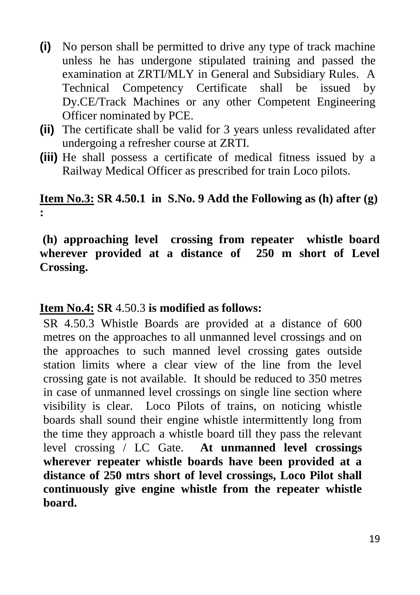- **(i)** No person shall be permitted to drive any type of track machine unless he has undergone stipulated training and passed the examination at ZRTI/MLY in General and Subsidiary Rules. A Technical Competency Certificate shall be issued by Dy.CE/Track Machines or any other Competent Engineering Officer nominated by PCE.
- **(ii)** The certificate shall be valid for 3 years unless revalidated after undergoing a refresher course at ZRTI.
- **(iii)** He shall possess a certificate of medical fitness issued by a Railway Medical Officer as prescribed for train Loco pilots.

### **Item No.3: SR 4.50.1 in S.No. 9 Add the Following as (h) after (g) :**

#### **(h) approaching level crossing from repeater whistle board wherever provided at a distance of 250 m short of Level Crossing.**

#### **Item No.4: SR** 4.50.3 **is modified as follows:**

SR 4.50.3 Whistle Boards are provided at a distance of 600 metres on the approaches to all unmanned level crossings and on the approaches to such manned level crossing gates outside station limits where a clear view of the line from the level crossing gate is not available. It should be reduced to 350 metres in case of unmanned level crossings on single line section where visibility is clear. Loco Pilots of trains, on noticing whistle boards shall sound their engine whistle intermittently long from the time they approach a whistle board till they pass the relevant level crossing / LC Gate. **At unmanned level crossings wherever repeater whistle boards have been provided at a distance of 250 mtrs short of level crossings, Loco Pilot shall continuously give engine whistle from the repeater whistle board.**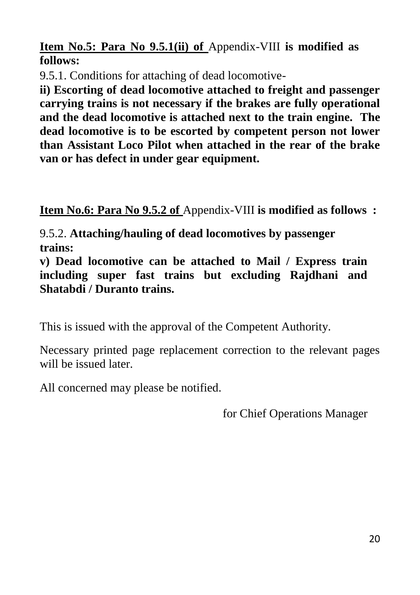**Item No.5: Para No 9.5.1(ii) of** Appendix-VIII **is modified as follows:**

9.5.1. Conditions for attaching of dead locomotive-

**ii) Escorting of dead locomotive attached to freight and passenger carrying trains is not necessary if the brakes are fully operational and the dead locomotive is attached next to the train engine. The dead locomotive is to be escorted by competent person not lower than Assistant Loco Pilot when attached in the rear of the brake van or has defect in under gear equipment.**

**Item No.6: Para No 9.5.2 of** Appendix-VIII **is modified as follows :**

9.5.2. **Attaching/hauling of dead locomotives by passenger trains:**

**v) Dead locomotive can be attached to Mail / Express train including super fast trains but excluding Rajdhani and Shatabdi / Duranto trains.**

This is issued with the approval of the Competent Authority.

Necessary printed page replacement correction to the relevant pages will be issued later.

All concerned may please be notified.

for Chief Operations Manager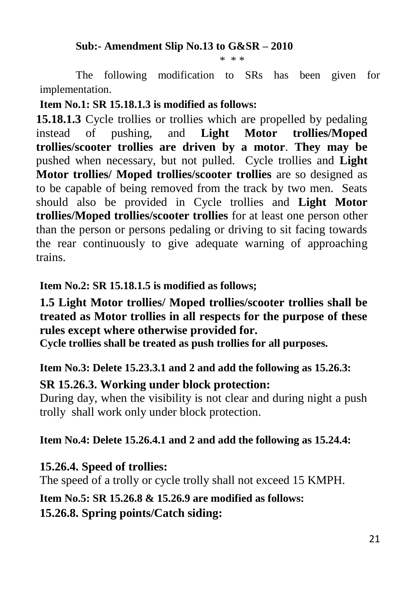#### **Sub:- Amendment Slip No.13 to G&SR – 2010**

\* \* \*

The following modification to SRs has been given for implementation.

#### **Item No.1: SR 15.18.1.3 is modified as follows:**

**15.18.1.3** Cycle trollies or trollies which are propelled by pedaling instead of pushing, and **Light Motor trollies/Moped trollies/scooter trollies are driven by a motor**. **They may be** pushed when necessary, but not pulled. Cycle trollies and **Light Motor trollies/ Moped trollies/scooter trollies** are so designed as to be capable of being removed from the track by two men. Seats should also be provided in Cycle trollies and **Light Motor trollies/Moped trollies/scooter trollies** for at least one person other than the person or persons pedaling or driving to sit facing towards the rear continuously to give adequate warning of approaching trains.

#### **Item No.2: SR 15.18.1.5 is modified as follows;**

**1.5 Light Motor trollies/ Moped trollies/scooter trollies shall be treated as Motor trollies in all respects for the purpose of these rules except where otherwise provided for.**

**Cycle trollies shall be treated as push trollies for all purposes.**

#### **Item No.3: Delete 15.23.3.1 and 2 and add the following as 15.26.3:**

#### **SR 15.26.3. Working under block protection:**

During day, when the visibility is not clear and during night a push trolly shall work only under block protection.

#### **Item No.4: Delete 15.26.4.1 and 2 and add the following as 15.24.4:**

#### **15.26.4. Speed of trollies:**

The speed of a trolly or cycle trolly shall not exceed 15 KMPH.

#### **Item No.5: SR 15.26.8 & 15.26.9 are modified as follows:**

#### **15.26.8. Spring points/Catch siding:**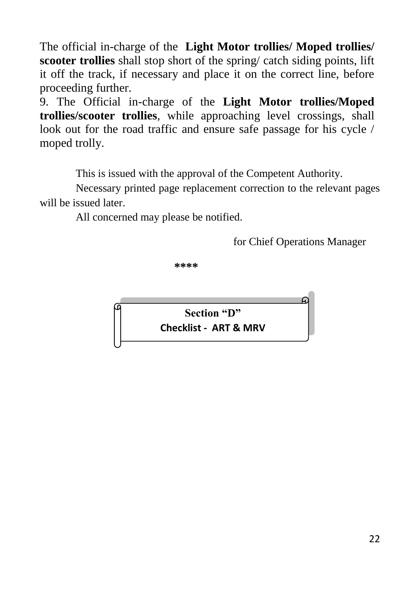The official in-charge of the **Light Motor trollies/ Moped trollies/ scooter trollies** shall stop short of the spring/ catch siding points, lift it off the track, if necessary and place it on the correct line, before proceeding further.

9. The Official in-charge of the **Light Motor trollies/Moped trollies/scooter trollies**, while approaching level crossings, shall look out for the road traffic and ensure safe passage for his cycle / moped trolly.

This is issued with the approval of the Competent Authority.

Necessary printed page replacement correction to the relevant pages will be issued later.

All concerned may please be notified.

for Chief Operations Manager

**\*\*\*\***

**Section "D" Checklist - ART & MRV**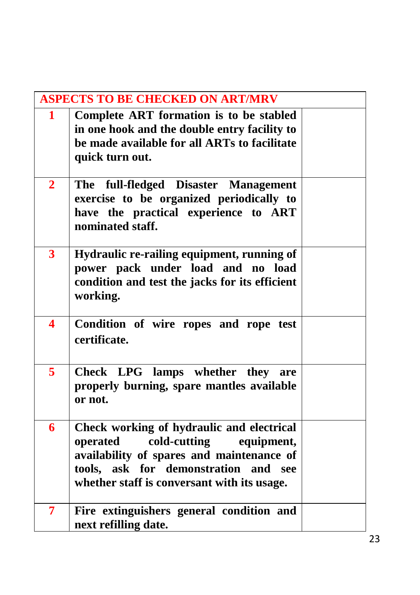| <b>ASPECTS TO BE CHECKED ON ART/MRV</b> |                                                                                                                                                                                                                         |  |  |  |  |  |  |  |
|-----------------------------------------|-------------------------------------------------------------------------------------------------------------------------------------------------------------------------------------------------------------------------|--|--|--|--|--|--|--|
| $\mathbf{1}$                            | Complete ART formation is to be stabled<br>in one hook and the double entry facility to<br>be made available for all ARTs to facilitate<br>quick turn out.                                                              |  |  |  |  |  |  |  |
| $\overline{2}$                          | The full-fledged Disaster Management<br>exercise to be organized periodically to<br>have the practical experience to ART<br>nominated staff.                                                                            |  |  |  |  |  |  |  |
| $\overline{\mathbf{3}}$                 | Hydraulic re-railing equipment, running of<br>power pack under load and no load<br>condition and test the jacks for its efficient<br>working.                                                                           |  |  |  |  |  |  |  |
| 4                                       | Condition of wire ropes and rope test<br>certificate.                                                                                                                                                                   |  |  |  |  |  |  |  |
| 5                                       | Check LPG lamps whether they are<br>properly burning, spare mantles available<br>or not.                                                                                                                                |  |  |  |  |  |  |  |
| 6                                       | Check working of hydraulic and electrical<br>cold-cutting<br>operated<br>equipment,<br>availability of spares and maintenance of<br>tools, ask for demonstration and see<br>whether staff is conversant with its usage. |  |  |  |  |  |  |  |
| 7                                       | Fire extinguishers general condition and<br>next refilling date.                                                                                                                                                        |  |  |  |  |  |  |  |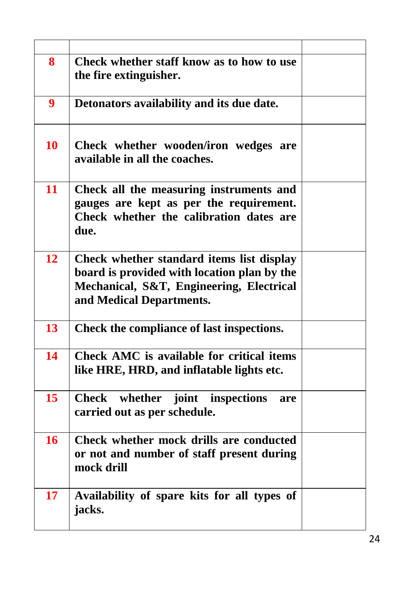| 8  | Check whether staff know as to how to use<br>the fire extinguisher.                                                                                              |  |
|----|------------------------------------------------------------------------------------------------------------------------------------------------------------------|--|
| 9  | Detonators availability and its due date.                                                                                                                        |  |
| 10 | Check whether wooden/iron wedges are<br>available in all the coaches.                                                                                            |  |
| 11 | Check all the measuring instruments and<br>gauges are kept as per the requirement.<br>Check whether the calibration dates are<br>due.                            |  |
| 12 | Check whether standard items list display<br>board is provided with location plan by the<br>Mechanical, S&T, Engineering, Electrical<br>and Medical Departments. |  |
| 13 | Check the compliance of last inspections.                                                                                                                        |  |
| 14 | Check AMC is available for critical items<br>like HRE, HRD, and inflatable lights etc.                                                                           |  |
| 15 | Check whether joint inspections<br>are<br>carried out as per schedule.                                                                                           |  |
| 16 | Check whether mock drills are conducted<br>or not and number of staff present during<br>mock drill                                                               |  |
| 17 | Availability of spare kits for all types of<br>jacks.                                                                                                            |  |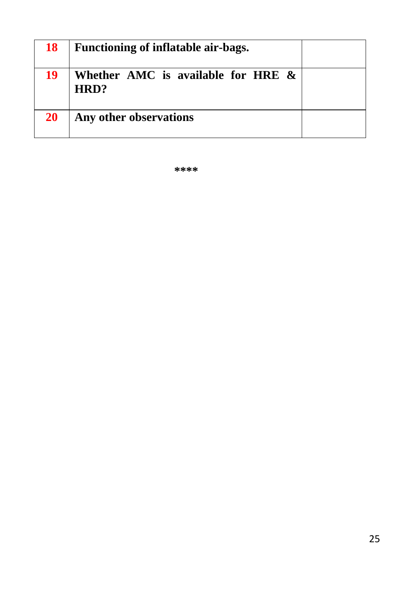| 18        | Functioning of inflatable air-bags.           |  |
|-----------|-----------------------------------------------|--|
| 19        | Whether AMC is available for HRE $\&$<br>HRD? |  |
| <b>20</b> | Any other observations                        |  |

**\*\*\*\***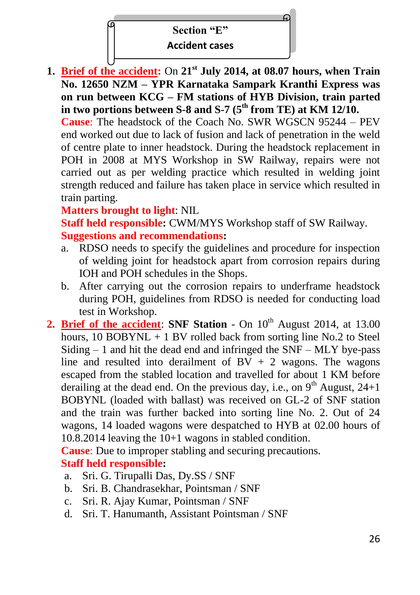#### **Section "E"**

#### **Accident cases**

**1. Brief of the accident:** On **21st July 2014, at 08.07 hours, when Train No. 12650 NZM – YPR Karnataka Sampark Kranthi Express was on run between KCG – FM stations of HYB Division, train parted in two portions between S-8 and S-7 (5th from TE) at KM 12/10.**

**Cause**: The headstock of the Coach No. SWR WGSCN 95244 – PEV end worked out due to lack of fusion and lack of penetration in the weld of centre plate to inner headstock. During the headstock replacement in POH in 2008 at MYS Workshop in SW Railway, repairs were not carried out as per welding practice which resulted in welding joint strength reduced and failure has taken place in service which resulted in train parting.

#### **Matters brought to light**: NIL

**Staff held responsible:** CWM/MYS Workshop staff of SW Railway. **Suggestions and recommendations:** 

- a. RDSO needs to specify the guidelines and procedure for inspection of welding joint for headstock apart from corrosion repairs during IOH and POH schedules in the Shops.
- b. After carrying out the corrosion repairs to underframe headstock during POH, guidelines from RDSO is needed for conducting load test in Workshop.
- **2. Brief of the accident: SNF Station** On  $10^{th}$  August 2014, at 13.00 hours,  $10$  BOBYNL  $+$  1 BV rolled back from sorting line No.2 to Steel Siding  $-1$  and hit the dead end and infringed the SNF – MLY bye-pass line and resulted into derailment of  $BV + 2$  wagons. The wagons escaped from the stabled location and travelled for about 1 KM before derailing at the dead end. On the previous day, i.e., on  $9<sup>th</sup>$  August, 24+1 BOBYNL (loaded with ballast) was received on GL-2 of SNF station and the train was further backed into sorting line No. 2. Out of 24 wagons, 14 loaded wagons were despatched to HYB at 02.00 hours of 10.8.2014 leaving the 10+1 wagons in stabled condition.

**Cause**: Due to improper stabling and securing precautions. **Staff held responsible:** 

- a. Sri. G. Tirupalli Das, Dy.SS / SNF
- b. Sri. B. Chandrasekhar, Pointsman / SNF
- c. Sri. R. Ajay Kumar, Pointsman / SNF
- d. Sri. T. Hanumanth, Assistant Pointsman / SNF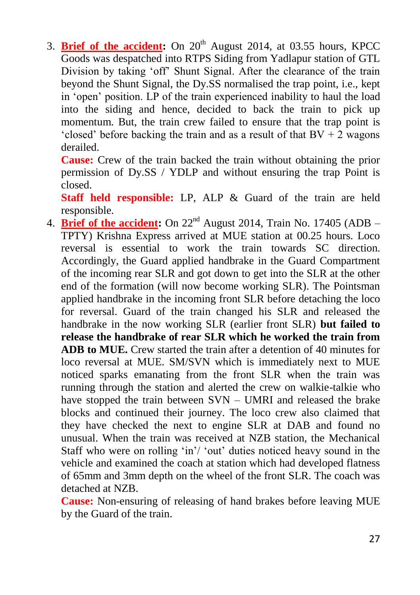3. **Brief of the accident:** On 20<sup>th</sup> August 2014, at 03.55 hours, KPCC Goods was despatched into RTPS Siding from Yadlapur station of GTL Division by taking 'off' Shunt Signal. After the clearance of the train beyond the Shunt Signal, the Dy.SS normalised the trap point, i.e., kept in 'open' position. LP of the train experienced inability to haul the load into the siding and hence, decided to back the train to pick up momentum. But, the train crew failed to ensure that the trap point is 'closed' before backing the train and as a result of that  $BV + 2$  wagons derailed.

**Cause:** Crew of the train backed the train without obtaining the prior permission of Dy.SS / YDLP and without ensuring the trap Point is closed.

**Staff held responsible:** LP, ALP & Guard of the train are held responsible.

4. **Brief of the accident:** On 22nd August 2014, Train No. 17405 (ADB – TPTY) Krishna Express arrived at MUE station at 00.25 hours. Loco reversal is essential to work the train towards SC direction. Accordingly, the Guard applied handbrake in the Guard Compartment of the incoming rear SLR and got down to get into the SLR at the other end of the formation (will now become working SLR). The Pointsman applied handbrake in the incoming front SLR before detaching the loco for reversal. Guard of the train changed his SLR and released the handbrake in the now working SLR (earlier front SLR) **but failed to release the handbrake of rear SLR which he worked the train from ADB to MUE.** Crew started the train after a detention of 40 minutes for loco reversal at MUE. SM/SVN which is immediately next to MUE noticed sparks emanating from the front SLR when the train was running through the station and alerted the crew on walkie-talkie who have stopped the train between SVN – UMRI and released the brake blocks and continued their journey. The loco crew also claimed that they have checked the next to engine SLR at DAB and found no unusual. When the train was received at NZB station, the Mechanical Staff who were on rolling 'in'/ 'out' duties noticed heavy sound in the vehicle and examined the coach at station which had developed flatness of 65mm and 3mm depth on the wheel of the front SLR. The coach was detached at NZB.

**Cause:** Non-ensuring of releasing of hand brakes before leaving MUE by the Guard of the train.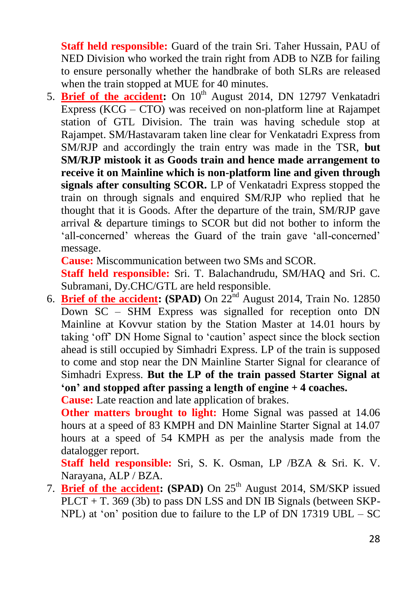**Staff held responsible:** Guard of the train Sri. Taher Hussain, PAU of NED Division who worked the train right from ADB to NZB for failing to ensure personally whether the handbrake of both SLRs are released when the train stopped at MUE for 40 minutes.

5. **Brief of the accident:** On 10<sup>th</sup> August 2014, DN 12797 Venkatadri Express (KCG – CTO) was received on non-platform line at Rajampet station of GTL Division. The train was having schedule stop at Rajampet. SM/Hastavaram taken line clear for Venkatadri Express from SM/RJP and accordingly the train entry was made in the TSR, **but SM/RJP mistook it as Goods train and hence made arrangement to receive it on Mainline which is non-platform line and given through signals after consulting SCOR.** LP of Venkatadri Express stopped the train on through signals and enquired SM/RJP who replied that he thought that it is Goods. After the departure of the train, SM/RJP gave arrival & departure timings to SCOR but did not bother to inform the 'all-concerned' whereas the Guard of the train gave 'all-concerned' message.

**Cause:** Miscommunication between two SMs and SCOR.

**Staff held responsible:** Sri. T. Balachandrudu, SM/HAQ and Sri. C. Subramani, Dy.CHC/GTL are held responsible.

6. **Brief of the accident: (SPAD)** On  $22<sup>nd</sup>$  August 2014, Train No. 12850 Down SC – SHM Express was signalled for reception onto DN Mainline at Kovvur station by the Station Master at 14.01 hours by taking 'off' DN Home Signal to 'caution' aspect since the block section ahead is still occupied by Simhadri Express. LP of the train is supposed to come and stop near the DN Mainline Starter Signal for clearance of Simhadri Express. **But the LP of the train passed Starter Signal at 'on' and stopped after passing a length of engine + 4 coaches.**

**Cause:** Late reaction and late application of brakes.

**Other matters brought to light:** Home Signal was passed at 14.06 hours at a speed of 83 KMPH and DN Mainline Starter Signal at 14.07 hours at a speed of 54 KMPH as per the analysis made from the datalogger report.

**Staff held responsible:** Sri, S. K. Osman, LP /BZA & Sri. K. V. Narayana, ALP / BZA.

7. **Brief of the accident: (SPAD)** On 25<sup>th</sup> August 2014, SM/SKP issued PLCT + T. 369 (3b) to pass DN LSS and DN IB Signals (between SKP-NPL) at 'on' position due to failure to the LP of DN 17319 UBL – SC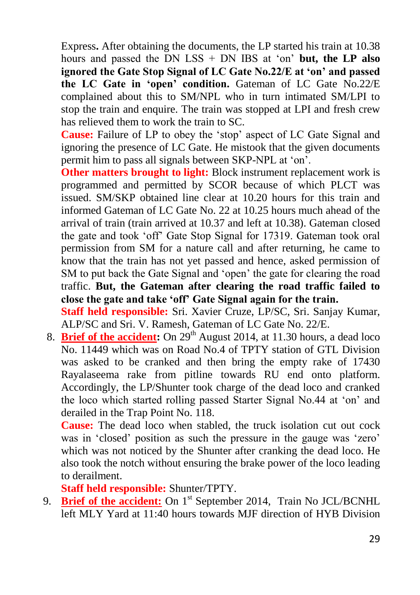Express**.** After obtaining the documents, the LP started his train at 10.38 hours and passed the DN LSS + DN IBS at 'on' **but, the LP also ignored the Gate Stop Signal of LC Gate No.22/E at 'on' and passed the LC Gate in 'open' condition.** Gateman of LC Gate No.22/E complained about this to SM/NPL who in turn intimated SM/LPI to stop the train and enquire. The train was stopped at LPI and fresh crew has relieved them to work the train to SC.

**Cause:** Failure of LP to obey the 'stop' aspect of LC Gate Signal and ignoring the presence of LC Gate. He mistook that the given documents permit him to pass all signals between SKP-NPL at 'on'.

**Other matters brought to light:** Block instrument replacement work is programmed and permitted by SCOR because of which PLCT was issued. SM/SKP obtained line clear at 10.20 hours for this train and informed Gateman of LC Gate No. 22 at 10.25 hours much ahead of the arrival of train (train arrived at 10.37 and left at 10.38). Gateman closed the gate and took 'off' Gate Stop Signal for 17319. Gateman took oral permission from SM for a nature call and after returning, he came to know that the train has not yet passed and hence, asked permission of SM to put back the Gate Signal and 'open' the gate for clearing the road traffic. **But, the Gateman after clearing the road traffic failed to close the gate and take 'off' Gate Signal again for the train. Staff held responsible:** Sri. Xavier Cruze, LP/SC, Sri. Sanjay Kumar, ALP/SC and Sri. V. Ramesh, Gateman of LC Gate No. 22/E.

8. **Brief of the accident:** On 29<sup>th</sup> August 2014, at 11.30 hours, a dead loco No. 11449 which was on Road No.4 of TPTY station of GTL Division was asked to be cranked and then bring the empty rake of 17430 Rayalaseema rake from pitline towards RU end onto platform. Accordingly, the LP/Shunter took charge of the dead loco and cranked the loco which started rolling passed Starter Signal No.44 at 'on' and derailed in the Trap Point No. 118.

**Cause:** The dead loco when stabled, the truck isolation cut out cock was in 'closed' position as such the pressure in the gauge was 'zero' which was not noticed by the Shunter after cranking the dead loco. He also took the notch without ensuring the brake power of the loco leading to derailment.

**Staff held responsible:** Shunter/TPTY.

9. **Brief of the accident:** On 1<sup>st</sup> September 2014, Train No JCL/BCNHL left MLY Yard at 11:40 hours towards MJF direction of HYB Division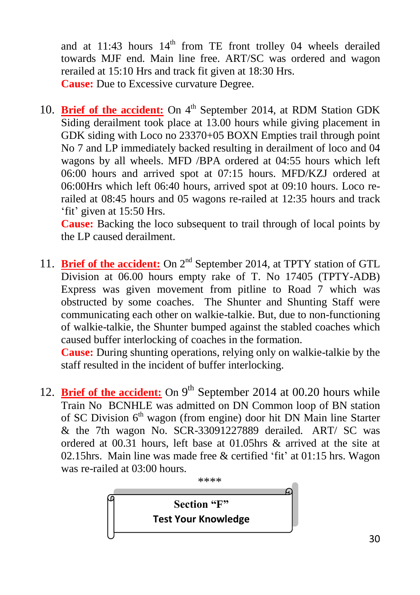and at 11:43 hours  $14<sup>th</sup>$  from TE front trolley 04 wheels derailed towards MJF end. Main line free. ART/SC was ordered and wagon rerailed at 15:10 Hrs and track fit given at 18:30 Hrs. **Cause:** Due to Excessive curvature Degree.

10. **Brief of the accident:** On 4<sup>th</sup> September 2014, at RDM Station GDK Siding derailment took place at 13.00 hours while giving placement in GDK siding with Loco no 23370+05 BOXN Empties trail through point No 7 and LP immediately backed resulting in derailment of loco and 04 wagons by all wheels. MFD /BPA ordered at 04:55 hours which left 06:00 hours and arrived spot at 07:15 hours. MFD/KZJ ordered at 06:00Hrs which left 06:40 hours, arrived spot at 09:10 hours. Loco rerailed at 08:45 hours and 05 wagons re-railed at 12:35 hours and track 'fit' given at 15:50 Hrs.

**Cause:** Backing the loco subsequent to trail through of local points by the LP caused derailment.

11. **Brief of the accident:** On 2<sup>nd</sup> September 2014, at TPTY station of GTL Division at 06.00 hours empty rake of T. No 17405 (TPTY-ADB) Express was given movement from pitline to Road 7 which was obstructed by some coaches. The Shunter and Shunting Staff were communicating each other on walkie-talkie. But, due to non-functioning of walkie-talkie, the Shunter bumped against the stabled coaches which caused buffer interlocking of coaches in the formation.

**Cause:** During shunting operations, relying only on walkie-talkie by the staff resulted in the incident of buffer interlocking.

12. **Brief of the accident:** On 9<sup>th</sup> September 2014 at 00.20 hours while Train No BCNHLE was admitted on DN Common loop of BN station of SC Division 6<sup>th</sup> wagon (from engine) door hit DN Main line Starter & the 7th wagon No. SCR-33091227889 derailed. ART/ SC was ordered at 00.31 hours, left base at 01.05hrs & arrived at the site at 02.15hrs. Main line was made free & certified 'fit' at 01:15 hrs. Wagon was re-railed at 03:00 hours.

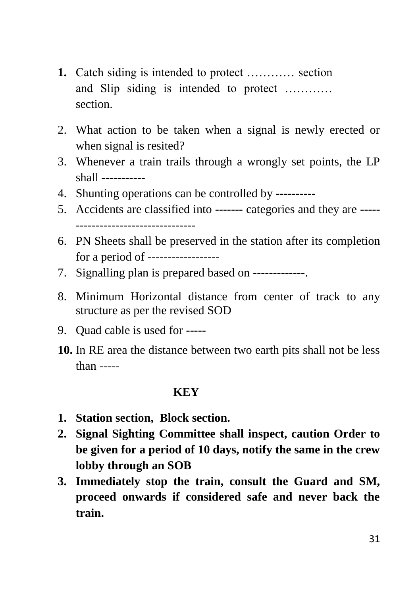- **1.** Catch siding is intended to protect ………… section and Slip siding is intended to protect ………… section.
- 2. What action to be taken when a signal is newly erected or when signal is resited?
- 3. Whenever a train trails through a wrongly set points, the LP shall -----------
- 4. Shunting operations can be controlled by ----------
- 5. Accidents are classified into ------- categories and they are ----- ------------------------------
- 6. PN Sheets shall be preserved in the station after its completion for a period of ------------------
- 7. Signalling plan is prepared based on -------------.
- 8. Minimum Horizontal distance from center of track to any structure as per the revised SOD
- 9. Quad cable is used for -----
- **10.** In RE area the distance between two earth pits shall not be less than -----

#### **KEY**

- **1. Station section, Block section.**
- **2. Signal Sighting Committee shall inspect, caution Order to be given for a period of 10 days, notify the same in the crew lobby through an SOB**
- **3. Immediately stop the train, consult the Guard and SM, proceed onwards if considered safe and never back the train.**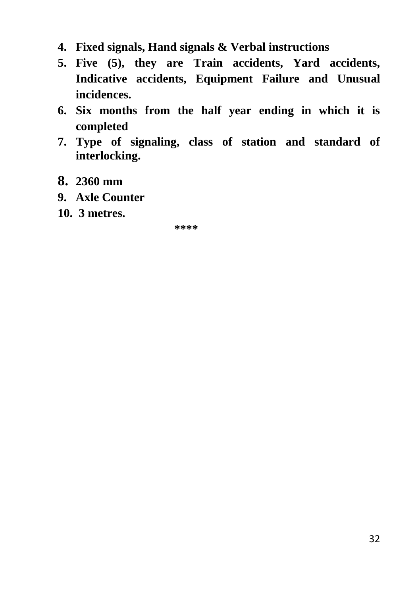- **4. Fixed signals, Hand signals & Verbal instructions**
- **5. Five (5), they are Train accidents, Yard accidents, Indicative accidents, Equipment Failure and Unusual incidences.**
- **6. Six months from the half year ending in which it is completed**
- **7. Type of signaling, class of station and standard of interlocking.**
- **8. 2360 mm**
- **9. Axle Counter**
- **10. 3 metres.**

**\*\*\*\***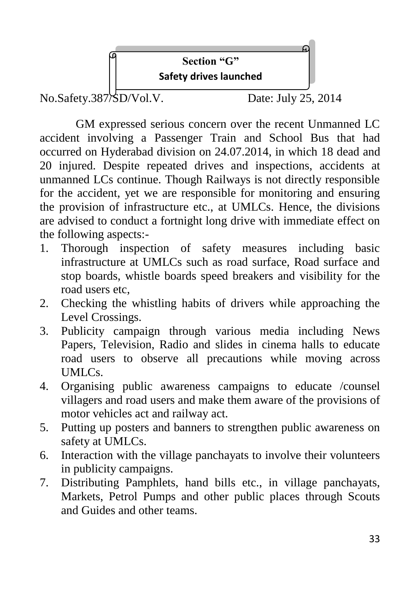

GM expressed serious concern over the recent Unmanned LC accident involving a Passenger Train and School Bus that had occurred on Hyderabad division on 24.07.2014, in which 18 dead and 20 injured. Despite repeated drives and inspections, accidents at unmanned LCs continue. Though Railways is not directly responsible for the accident, yet we are responsible for monitoring and ensuring the provision of infrastructure etc., at UMLCs. Hence, the divisions are advised to conduct a fortnight long drive with immediate effect on the following aspects:-

- 1. Thorough inspection of safety measures including basic infrastructure at UMLCs such as road surface, Road surface and stop boards, whistle boards speed breakers and visibility for the road users etc,
- 2. Checking the whistling habits of drivers while approaching the Level Crossings.
- 3. Publicity campaign through various media including News Papers, Television, Radio and slides in cinema halls to educate road users to observe all precautions while moving across UMLCs.
- 4. Organising public awareness campaigns to educate /counsel villagers and road users and make them aware of the provisions of motor vehicles act and railway act.
- 5. Putting up posters and banners to strengthen public awareness on safety at UMLCs.
- 6. Interaction with the village panchayats to involve their volunteers in publicity campaigns.
- 7. Distributing Pamphlets, hand bills etc., in village panchayats, Markets, Petrol Pumps and other public places through Scouts and Guides and other teams.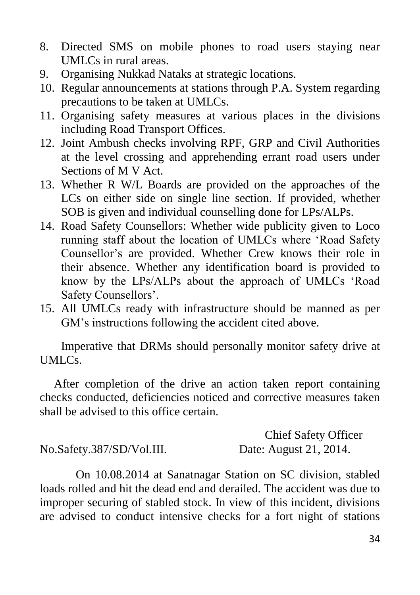- 8. Directed SMS on mobile phones to road users staying near UMLCs in rural areas.
- 9. Organising Nukkad Nataks at strategic locations.
- 10. Regular announcements at stations through P.A. System regarding precautions to be taken at UMLCs.
- 11. Organising safety measures at various places in the divisions including Road Transport Offices.
- 12. Joint Ambush checks involving RPF, GRP and Civil Authorities at the level crossing and apprehending errant road users under Sections of M V Act.
- 13. Whether R W/L Boards are provided on the approaches of the LCs on either side on single line section. If provided, whether SOB is given and individual counselling done for LPs/ALPs.
- 14. Road Safety Counsellors: Whether wide publicity given to Loco running staff about the location of UMLCs where 'Road Safety Counsellor's are provided. Whether Crew knows their role in their absence. Whether any identification board is provided to know by the LPs/ALPs about the approach of UMLCs 'Road Safety Counsellors'.
- 15. All UMLCs ready with infrastructure should be manned as per GM's instructions following the accident cited above.

Imperative that DRMs should personally monitor safety drive at UMLCs.

After completion of the drive an action taken report containing checks conducted, deficiencies noticed and corrective measures taken shall be advised to this office certain.

 Chief Safety Officer No.Safety.387/SD/Vol.III. Date: August 21, 2014.

On 10.08.2014 at Sanatnagar Station on SC division, stabled loads rolled and hit the dead end and derailed. The accident was due to improper securing of stabled stock. In view of this incident, divisions are advised to conduct intensive checks for a fort night of stations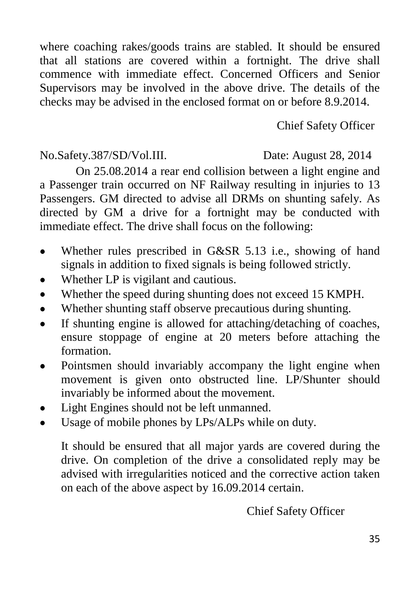where coaching rakes/goods trains are stabled. It should be ensured that all stations are covered within a fortnight. The drive shall commence with immediate effect. Concerned Officers and Senior Supervisors may be involved in the above drive. The details of the checks may be advised in the enclosed format on or before 8.9.2014.

# Chief Safety Officer

#### No.Safety.387/SD/Vol.III. Date: August 28, 2014

On 25.08.2014 a rear end collision between a light engine and a Passenger train occurred on NF Railway resulting in injuries to 13 Passengers. GM directed to advise all DRMs on shunting safely. As directed by GM a drive for a fortnight may be conducted with immediate effect. The drive shall focus on the following:

- Whether rules prescribed in G&SR 5.13 i.e., showing of hand signals in addition to fixed signals is being followed strictly.
- Whether LP is vigilant and cautious.
- Whether the speed during shunting does not exceed 15 KMPH.
- Whether shunting staff observe precautious during shunting.
- If shunting engine is allowed for attaching/detaching of coaches,  $\bullet$ ensure stoppage of engine at 20 meters before attaching the formation.
- Pointsmen should invariably accompany the light engine when movement is given onto obstructed line. LP/Shunter should invariably be informed about the movement.
- Light Engines should not be left unmanned.  $\bullet$
- Usage of mobile phones by LPs/ALPs while on duty.

It should be ensured that all major yards are covered during the drive. On completion of the drive a consolidated reply may be advised with irregularities noticed and the corrective action taken on each of the above aspect by 16.09.2014 certain.

Chief Safety Officer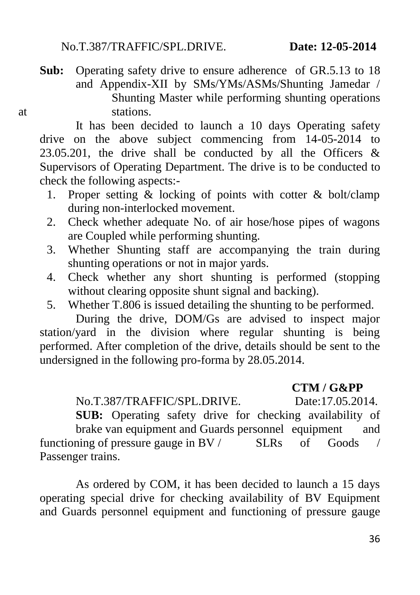**Sub:** Operating safety drive to ensure adherence of GR.5.13 to 18 and Appendix-XII by SMs/YMs/ASMs/Shunting Jamedar / Shunting Master while performing shunting operations at stations.

It has been decided to launch a 10 days Operating safety drive on the above subject commencing from 14-05-2014 to 23.05.201, the drive shall be conducted by all the Officers  $\&$ Supervisors of Operating Department. The drive is to be conducted to check the following aspects:-

- 1. Proper setting  $\&$  locking of points with cotter  $\&$  bolt/clamp during non-interlocked movement.
- 2. Check whether adequate No. of air hose/hose pipes of wagons are Coupled while performing shunting.
- 3. Whether Shunting staff are accompanying the train during shunting operations or not in major yards.
- 4. Check whether any short shunting is performed (stopping without clearing opposite shunt signal and backing).
- 5. Whether T.806 is issued detailing the shunting to be performed.

During the drive, DOM/Gs are advised to inspect major station/yard in the division where regular shunting is being performed. After completion of the drive, details should be sent to the undersigned in the following pro-forma by 28.05.2014.

#### **CTM / G&PP**

No.T.387/TRAFFIC/SPL.DRIVE. Date:17.05.2014.

**SUB:** Operating safety drive for checking availability of brake van equipment and Guards personnel equipment and functioning of pressure gauge in BV / SLRs of Goods / Passenger trains.

As ordered by COM, it has been decided to launch a 15 days operating special drive for checking availability of BV Equipment and Guards personnel equipment and functioning of pressure gauge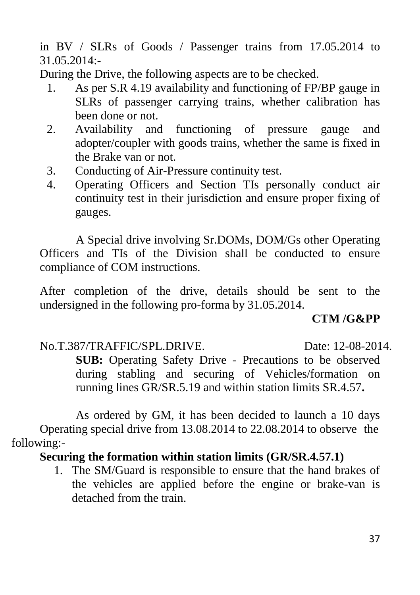in BV / SLRs of Goods / Passenger trains from 17.05.2014 to 31.05.2014:-

During the Drive, the following aspects are to be checked.

- 1. As per S.R 4.19 availability and functioning of FP/BP gauge in SLRs of passenger carrying trains, whether calibration has been done or not.
- 2. Availability and functioning of pressure gauge and adopter/coupler with goods trains, whether the same is fixed in the Brake van or not.
- 3. Conducting of Air-Pressure continuity test.
- 4. Operating Officers and Section TIs personally conduct air continuity test in their jurisdiction and ensure proper fixing of gauges.

A Special drive involving Sr.DOMs, DOM/Gs other Operating Officers and TIs of the Division shall be conducted to ensure compliance of COM instructions.

After completion of the drive, details should be sent to the undersigned in the following pro-forma by 31.05.2014.

# **CTM /G&PP**

No.T.387/TRAFFIC/SPL.DRIVE. Date: 12-08-2014.

**SUB:** Operating Safety Drive - Precautions to be observed during stabling and securing of Vehicles/formation on running lines GR/SR.5.19 and within station limits SR.4.57**.**

As ordered by GM, it has been decided to launch a 10 days Operating special drive from 13.08.2014 to 22.08.2014 to observe the following:-

# **Securing the formation within station limits (GR/SR.4.57.1)**

1. The SM/Guard is responsible to ensure that the hand brakes of the vehicles are applied before the engine or brake-van is detached from the train.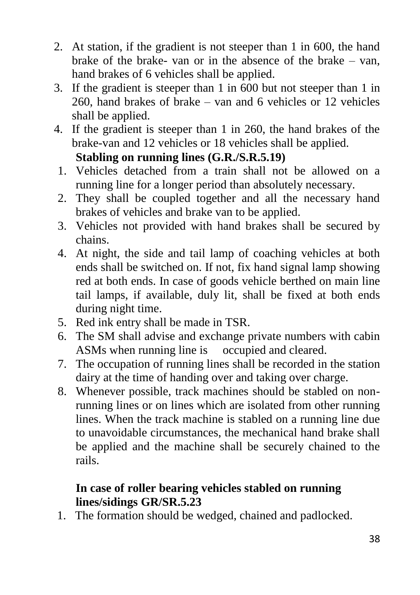- 2. At station, if the gradient is not steeper than 1 in 600, the hand brake of the brake- van or in the absence of the brake – van, hand brakes of 6 vehicles shall be applied.
- 3. If the gradient is steeper than 1 in 600 but not steeper than 1 in 260, hand brakes of brake – van and 6 vehicles or 12 vehicles shall be applied.
- 4. If the gradient is steeper than 1 in 260, the hand brakes of the brake-van and 12 vehicles or 18 vehicles shall be applied.

# **Stabling on running lines (G.R./S.R.5.19)**

- 1. Vehicles detached from a train shall not be allowed on a running line for a longer period than absolutely necessary.
- 2. They shall be coupled together and all the necessary hand brakes of vehicles and brake van to be applied.
- 3. Vehicles not provided with hand brakes shall be secured by chains.
- 4. At night, the side and tail lamp of coaching vehicles at both ends shall be switched on. If not, fix hand signal lamp showing red at both ends. In case of goods vehicle berthed on main line tail lamps, if available, duly lit, shall be fixed at both ends during night time.
- 5. Red ink entry shall be made in TSR.
- 6. The SM shall advise and exchange private numbers with cabin ASMs when running line is occupied and cleared.
- 7. The occupation of running lines shall be recorded in the station dairy at the time of handing over and taking over charge.
- 8. Whenever possible, track machines should be stabled on nonrunning lines or on lines which are isolated from other running lines. When the track machine is stabled on a running line due to unavoidable circumstances, the mechanical hand brake shall be applied and the machine shall be securely chained to the rails.

# **In case of roller bearing vehicles stabled on running lines/sidings GR/SR.5.23**

1. The formation should be wedged, chained and padlocked.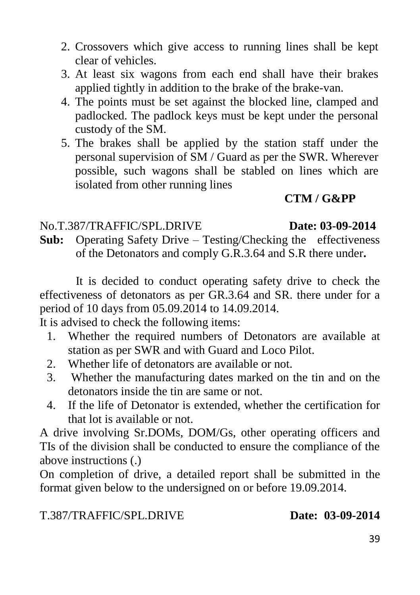- 2. Crossovers which give access to running lines shall be kept clear of vehicles.
- 3. At least six wagons from each end shall have their brakes applied tightly in addition to the brake of the brake-van.
- 4. The points must be set against the blocked line, clamped and padlocked. The padlock keys must be kept under the personal custody of the SM.
- 5. The brakes shall be applied by the station staff under the personal supervision of SM / Guard as per the SWR. Wherever possible, such wagons shall be stabled on lines which are isolated from other running lines

# **CTM / G&PP**

#### No.T.387/TRAFFIC/SPL.DRIVE **Date: 03-09-2014**

**Sub:** Operating Safety Drive – Testing/Checking the effectiveness of the Detonators and comply G.R.3.64 and S.R there under**.**

It is decided to conduct operating safety drive to check the effectiveness of detonators as per GR.3.64 and SR. there under for a period of 10 days from 05.09.2014 to 14.09.2014.

It is advised to check the following items:

- 1. Whether the required numbers of Detonators are available at station as per SWR and with Guard and Loco Pilot.
- 2. Whether life of detonators are available or not.
- 3. Whether the manufacturing dates marked on the tin and on the detonators inside the tin are same or not.
- 4. If the life of Detonator is extended, whether the certification for that lot is available or not.

A drive involving Sr.DOMs, DOM/Gs, other operating officers and TIs of the division shall be conducted to ensure the compliance of the above instructions (.)

On completion of drive, a detailed report shall be submitted in the format given below to the undersigned on or before 19.09.2014.

T.387/TRAFFIC/SPL.DRIVE **Date: 03-09-2014**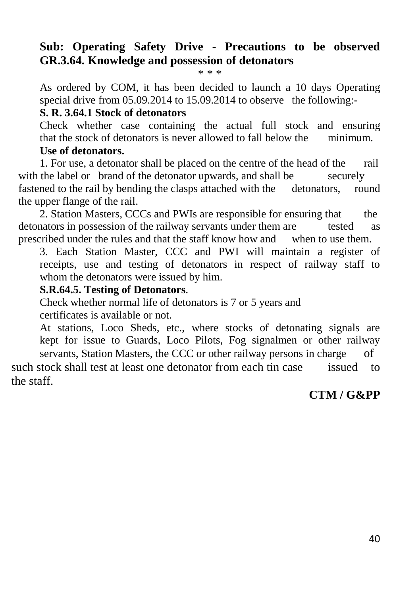#### **Sub: Operating Safety Drive - Precautions to be observed GR.3.64. Knowledge and possession of detonators**

\* \* \*

As ordered by COM, it has been decided to launch a 10 days Operating special drive from 05.09.2014 to 15.09.2014 to observe the following:-

#### **S. R. 3.64.1 Stock of detonators**

Check whether case containing the actual full stock and ensuring that the stock of detonators is never allowed to fall below the minimum.

#### **Use of detonators.**

1. For use, a detonator shall be placed on the centre of the head of the rail with the label or brand of the detonator upwards, and shall be securely fastened to the rail by bending the clasps attached with the detonators, round the upper flange of the rail.

2. Station Masters, CCCs and PWIs are responsible for ensuring that the detonators in possession of the railway servants under them are tested as prescribed under the rules and that the staff know how and when to use them.

3. Each Station Master, CCC and PWI will maintain a register of receipts, use and testing of detonators in respect of railway staff to whom the detonators were issued by him.

#### **S.R.64.5. Testing of Detonators**.

Check whether normal life of detonators is 7 or 5 years and certificates is available or not.

At stations, Loco Sheds, etc., where stocks of detonating signals are kept for issue to Guards, Loco Pilots, Fog signalmen or other railway servants, Station Masters, the CCC or other railway persons in charge of

such stock shall test at least one detonator from each tin case issued to the staff.

#### **CTM / G&PP**